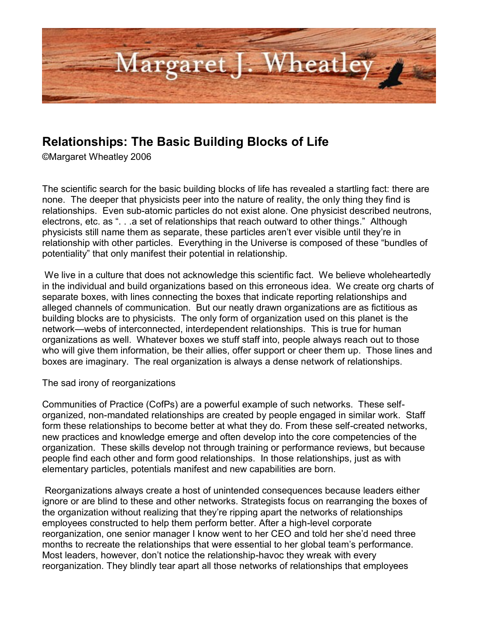

## **Relationships: The Basic Building Blocks of Life**

©Margaret Wheatley 2006

The scientific search for the basic building blocks of life has revealed a startling fact: there are none. The deeper that physicists peer into the nature of reality, the only thing they find is relationships. Even sub-atomic particles do not exist alone. One physicist described neutrons, electrons, etc. as ". . .a set of relationships that reach outward to other things." Although physicists still name them as separate, these particles aren't ever visible until they're in relationship with other particles. Everything in the Universe is composed of these "bundles of potentiality" that only manifest their potential in relationship.

We live in a culture that does not acknowledge this scientific fact. We believe wholeheartedly in the individual and build organizations based on this erroneous idea. We create org charts of separate boxes, with lines connecting the boxes that indicate reporting relationships and alleged channels of communication. But our neatly drawn organizations are as fictitious as building blocks are to physicists. The only form of organization used on this planet is the network—webs of interconnected, interdependent relationships. This is true for human organizations as well. Whatever boxes we stuff staff into, people always reach out to those who will give them information, be their allies, offer support or cheer them up. Those lines and boxes are imaginary. The real organization is always a dense network of relationships.

The sad irony of reorganizations

Communities of Practice (CofPs) are a powerful example of such networks. These selforganized, non-mandated relationships are created by people engaged in similar work. Staff form these relationships to become better at what they do. From these self-created networks, new practices and knowledge emerge and often develop into the core competencies of the organization. These skills develop not through training or performance reviews, but because people find each other and form good relationships. In those relationships, just as with elementary particles, potentials manifest and new capabilities are born.

Reorganizations always create a host of unintended consequences because leaders either ignore or are blind to these and other networks. Strategists focus on rearranging the boxes of the organization without realizing that they're ripping apart the networks of relationships employees constructed to help them perform better. After a high-level corporate reorganization, one senior manager I know went to her CEO and told her she'd need three months to recreate the relationships that were essential to her global team's performance. Most leaders, however, don't notice the relationship-havoc they wreak with every reorganization. They blindly tear apart all those networks of relationships that employees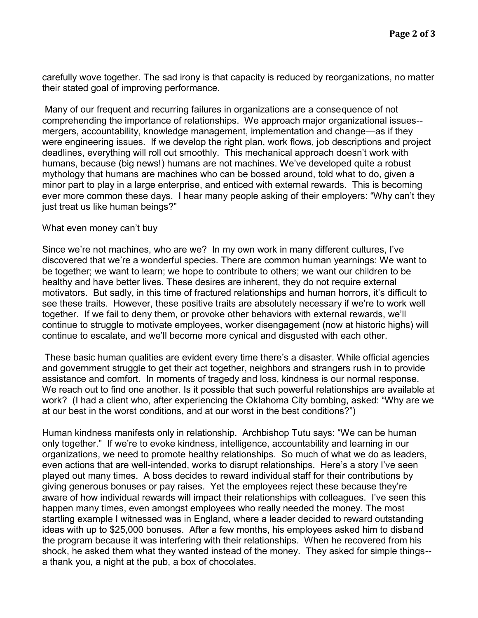carefully wove together. The sad irony is that capacity is reduced by reorganizations, no matter their stated goal of improving performance.

Many of our frequent and recurring failures in organizations are a consequence of not comprehending the importance of relationships. We approach major organizational issues- mergers, accountability, knowledge management, implementation and change—as if they were engineering issues. If we develop the right plan, work flows, job descriptions and project deadlines, everything will roll out smoothly. This mechanical approach doesn't work with humans, because (big news!) humans are not machines. We've developed quite a robust mythology that humans are machines who can be bossed around, told what to do, given a minor part to play in a large enterprise, and enticed with external rewards. This is becoming ever more common these days. I hear many people asking of their employers: "Why can't they just treat us like human beings?"

## What even money can't buy

Since we're not machines, who are we? In my own work in many different cultures, I've discovered that we're a wonderful species. There are common human yearnings: We want to be together; we want to learn; we hope to contribute to others; we want our children to be healthy and have better lives. These desires are inherent, they do not require external motivators. But sadly, in this time of fractured relationships and human horrors, it's difficult to see these traits. However, these positive traits are absolutely necessary if we're to work well together. If we fail to deny them, or provoke other behaviors with external rewards, we'll continue to struggle to motivate employees, worker disengagement (now at historic highs) will continue to escalate, and we'll become more cynical and disgusted with each other.

These basic human qualities are evident every time there's a disaster. While official agencies and government struggle to get their act together, neighbors and strangers rush in to provide assistance and comfort. In moments of tragedy and loss, kindness is our normal response. We reach out to find one another. Is it possible that such powerful relationships are available at work? (I had a client who, after experiencing the Oklahoma City bombing, asked: "Why are we at our best in the worst conditions, and at our worst in the best conditions?")

Human kindness manifests only in relationship. Archbishop Tutu says: "We can be human only together." If we're to evoke kindness, intelligence, accountability and learning in our organizations, we need to promote healthy relationships. So much of what we do as leaders, even actions that are well-intended, works to disrupt relationships. Here's a story I've seen played out many times. A boss decides to reward individual staff for their contributions by giving generous bonuses or pay raises. Yet the employees reject these because they're aware of how individual rewards will impact their relationships with colleagues. I've seen this happen many times, even amongst employees who really needed the money. The most startling example I witnessed was in England, where a leader decided to reward outstanding ideas with up to \$25,000 bonuses. After a few months, his employees asked him to disband the program because it was interfering with their relationships. When he recovered from his shock, he asked them what they wanted instead of the money. They asked for simple things- a thank you, a night at the pub, a box of chocolates.